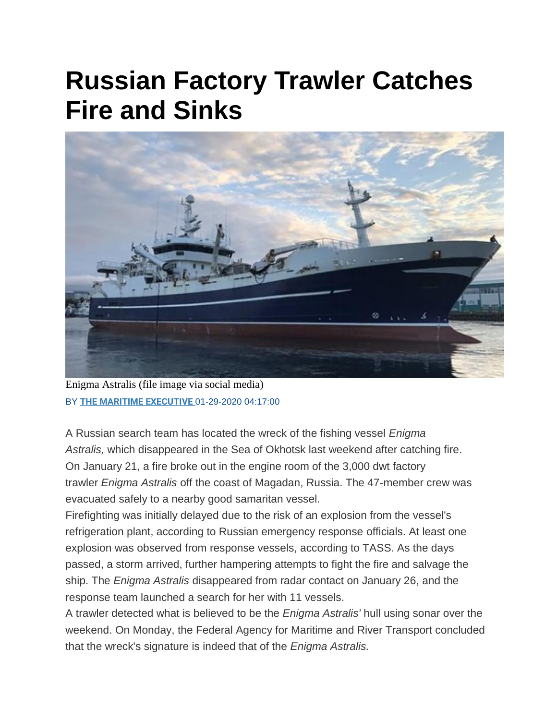## **Russian Factory Trawler Catches Fire and Sinks**



Enigma Astralis (file image via social media) BY **[THE MARITIME EXECUTIVE](https://www.maritime-executive.com/author/marex)** 01-29-2020 04:17:00

A Russian search team has located the wreck of the fishing vessel *Enigma Astralis,* which disappeared in the Sea of Okhotsk last weekend after catching fire. On January 21, a fire broke out in the engine room of the 3,000 dwt factory trawler *Enigma Astralis* off the coast of Magadan, Russia. The 47-member crew was evacuated safely to a nearby good samaritan vessel.

Firefighting was initially delayed due to the risk of an explosion from the vessel's refrigeration plant, according to Russian emergency response officials. At least one explosion was observed from response vessels, according to TASS. As the days passed, a storm arrived, further hampering attempts to fight the fire and salvage the ship. The *Enigma Astralis* disappeared from radar contact on January 26, and the response team launched a search for her with 11 vessels.

A trawler detected what is believed to be the *Enigma Astralis'* hull using sonar over the weekend. On Monday, the Federal Agency for Maritime and River Transport concluded that the wreck's signature is indeed that of the *Enigma Astralis.*